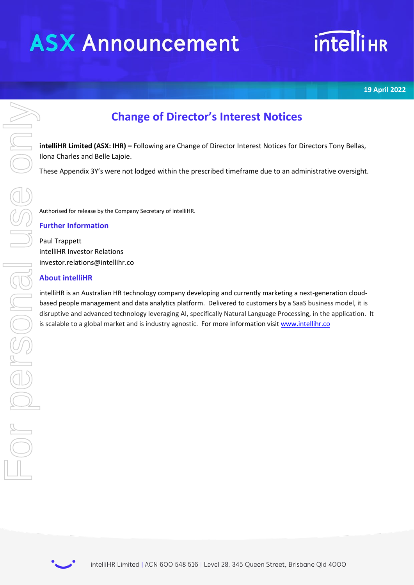# **ASX Announcement**

# **intelliHR**

**19 April 2022**

## **Change of Director's Interest Notices**

**intelliHR Limited (ASX: IHR) –** Following are Change of Director Interest Notices for Directors Tony Bellas, Ilona Charles and Belle Lajoie.

These Appendix 3Y's were not lodged within the prescribed timeframe due to an administrative oversight.

Authorised for release by the Company Secretary of intelliHR.

### **Further Information**

Paul Trappett intelliHR Investor Relations investor.relations@intellihr.co

### **About intelliHR**

intelliHR is an Australian HR technology company developing and currently marketing a next-generation cloudbased people management and data analytics platform. Delivered to customers by a SaaS business model, it is disruptive and advanced technology leveraging AI, specifically Natural Language Processing, in the application. It

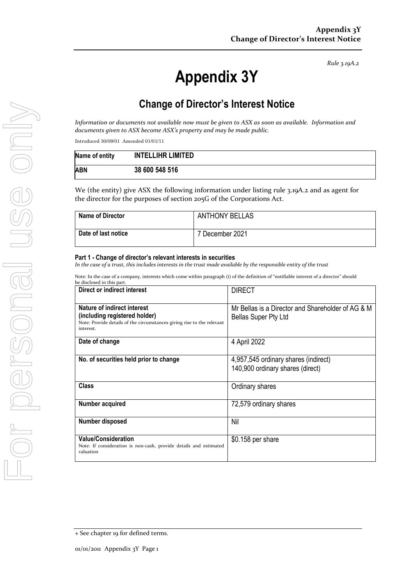*Rule 3.19A.2*

# **Appendix 3Y**

### **Change of Director's Interest Notice**

*Information or documents not available now must be given to ASX as soon as available. Information and documents given to ASX become ASX's property and may be made public.*

Introduced 30/09/01 Amended 01/01/11

| Name of entity | <b>INTELLIHR LIMITED</b> |
|----------------|--------------------------|
| ABN            | 38 600 548 516           |

We (the entity) give ASX the following information under listing rule 3.19A.2 and as agent for the director for the purposes of section 205G of the Corporations Act.

| <b>Name of Director</b> | <b>ANTHONY BELLAS</b> |
|-------------------------|-----------------------|
| Date of last notice     | 7 December 2021       |

#### **Part 1 - Change of director's relevant interests in securities**

*In the case of a trust, this includes interests in the trust made available by the responsible entity of the trust*

Note: In the case of a company, interests which come within paragraph (i) of the definition of "notifiable interest of a director" should

| be disclosed in this part.                                                                                                                          |                                                                                  |  |
|-----------------------------------------------------------------------------------------------------------------------------------------------------|----------------------------------------------------------------------------------|--|
| Direct or indirect interest                                                                                                                         | <b>DIRECT</b>                                                                    |  |
| Nature of indirect interest<br>(including registered holder)<br>Note: Provide details of the circumstances giving rise to the relevant<br>interest. | Mr Bellas is a Director and Shareholder of AG & M<br><b>Bellas Super Pty Ltd</b> |  |
| Date of change                                                                                                                                      | 4 April 2022                                                                     |  |
| No. of securities held prior to change                                                                                                              | 4,957,545 ordinary shares (indirect)<br>140,900 ordinary shares (direct)         |  |
| <b>Class</b>                                                                                                                                        | Ordinary shares                                                                  |  |
| Number acquired                                                                                                                                     | 72,579 ordinary shares                                                           |  |
| Number disposed                                                                                                                                     | Nil                                                                              |  |
| <b>Value/Consideration</b><br>Note: If consideration is non-cash, provide details and estimated<br>valuation                                        | \$0.158 per share                                                                |  |

<sup>+</sup> See chapter 19 for defined terms.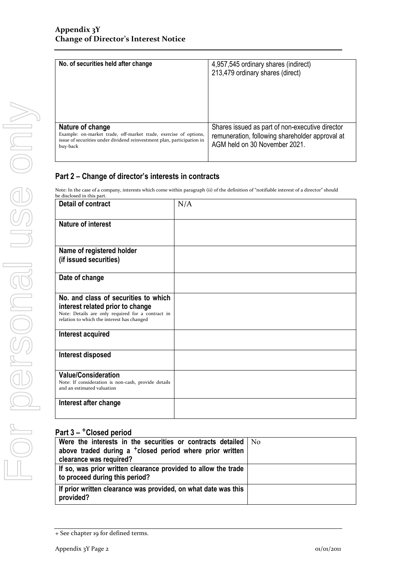| No. of securities held after change                                                                                                                                        | 4,957,545 ordinary shares (indirect)<br>213,479 ordinary shares (direct)                                                            |
|----------------------------------------------------------------------------------------------------------------------------------------------------------------------------|-------------------------------------------------------------------------------------------------------------------------------------|
| Nature of change<br>Example: on-market trade, off-market trade, exercise of options,<br>issue of securities under dividend reinvestment plan, participation in<br>buy-back | Shares issued as part of non-executive director<br>remuneration, following shareholder approval at<br>AGM held on 30 November 2021. |

### **Part 2 – Change of director's interests in contracts**

Note: In the case of a company, interests which come within paragraph (ii) of the definition of "notifiable interest of a director" should

| <b>Detail of contract</b>                                                                                       | N/A |
|-----------------------------------------------------------------------------------------------------------------|-----|
| <b>Nature of interest</b>                                                                                       |     |
| Name of registered holder                                                                                       |     |
| (if issued securities)                                                                                          |     |
| Date of change                                                                                                  |     |
| No. and class of securities to which                                                                            |     |
| interest related prior to change                                                                                |     |
| Note: Details are only required for a contract in<br>relation to which the interest has changed                 |     |
| Interest acquired                                                                                               |     |
|                                                                                                                 |     |
| Interest disposed                                                                                               |     |
| <b>Value/Consideration</b><br>Note: If consideration is non-cash, provide details<br>and an estimated valuation |     |
| Interest after change                                                                                           |     |

### **Part 3 –** +**Closed period**

| Were the interests in the securities or contracts detailed   No<br>above traded during a <sup>+</sup> closed period where prior written |  |
|-----------------------------------------------------------------------------------------------------------------------------------------|--|
| clearance was required?                                                                                                                 |  |
| If so, was prior written clearance provided to allow the trade<br>to proceed during this period?                                        |  |
| If prior written clearance was provided, on what date was this<br>provided?                                                             |  |

<sup>+</sup> See chapter 19 for defined terms.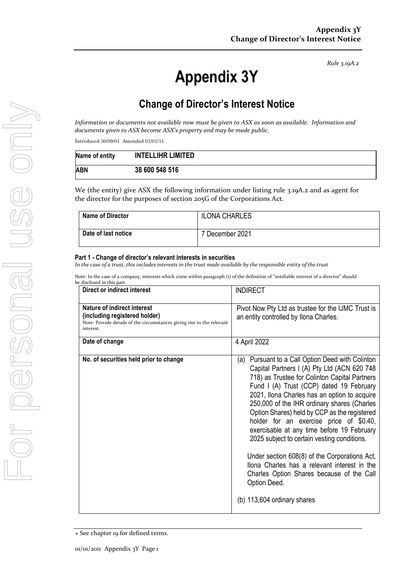*Rule 3.19A.2*

# **Appendix 3Y**

### **Change of Director's Interest Notice**

*Information or documents not available now must be given to ASX as soon as available. Information and documents given to ASX become ASX's property and may be made public.*

Introduced 30/09/01 Amended 01/01/11

| Name of entity | <b>INTELLIHR LIMITED</b> |
|----------------|--------------------------|
| ABN            | 38 600 548 516           |

We (the entity) give ASX the following information under listing rule 3.19A.2 and as agent for the director for the purposes of section 205G of the Corporations Act.

| <b>Name of Director</b> | <b>ILONA CHARLES</b> |
|-------------------------|----------------------|
| Date of last notice     | 7 December 2021      |

#### **Part 1 - Change of director's relevant interests in securities**

*In the case of a trust, this includes interests in the trust made available by the responsible entity of the trust*

Note: In the case of a company, interests which come within paragraph (i) of the definition of "notifiable interest of a director" should

| be disclosed in this part.                                                                                                                          |                                                                                                                                                                                                                                                                                                                                                                                                                                                                                                                                                                                                                                                                                     |
|-----------------------------------------------------------------------------------------------------------------------------------------------------|-------------------------------------------------------------------------------------------------------------------------------------------------------------------------------------------------------------------------------------------------------------------------------------------------------------------------------------------------------------------------------------------------------------------------------------------------------------------------------------------------------------------------------------------------------------------------------------------------------------------------------------------------------------------------------------|
| Direct or indirect interest                                                                                                                         | <b>INDIRECT</b>                                                                                                                                                                                                                                                                                                                                                                                                                                                                                                                                                                                                                                                                     |
| Nature of indirect interest<br>(including registered holder)<br>Note: Provide details of the circumstances giving rise to the relevant<br>interest. | Pivot Now Pty Ltd as trustee for the IJMC Trust is<br>an entity controlled by Ilona Charles.                                                                                                                                                                                                                                                                                                                                                                                                                                                                                                                                                                                        |
| Date of change                                                                                                                                      | 4 April 2022                                                                                                                                                                                                                                                                                                                                                                                                                                                                                                                                                                                                                                                                        |
| No. of securities held prior to change                                                                                                              | Pursuant to a Call Option Deed with Colinton<br>(a)<br>Capital Partners I (A) Pty Ltd (ACN 620 748<br>718) as Trustee for Colinton Capital Partners<br>Fund I (A) Trust (CCP) dated 19 February<br>2021, Ilona Charles has an option to acquire<br>250,000 of the IHR ordinary shares (Charles<br>Option Shares) held by CCP as the registered<br>holder for an exercise price of \$0.40,<br>exercisable at any time before 19 February<br>2025 subject to certain vesting conditions.<br>Under section 608(8) of the Corporations Act,<br>Ilona Charles has a relevant interest in the<br>Charles Option Shares because of the Call<br>Option Deed.<br>(b) 113,604 ordinary shares |

<sup>+</sup> See chapter 19 for defined terms.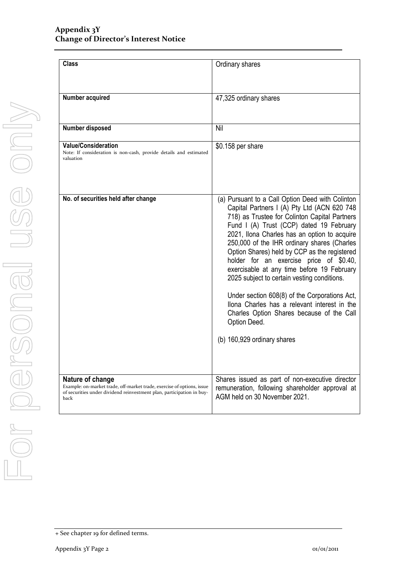| <b>Class</b>                                                                                                                                                                | Ordinary shares                                                                                                                                                                                                                                                                                                                                                                                                                                                                                                                                                                                                                                                                  |  |
|-----------------------------------------------------------------------------------------------------------------------------------------------------------------------------|----------------------------------------------------------------------------------------------------------------------------------------------------------------------------------------------------------------------------------------------------------------------------------------------------------------------------------------------------------------------------------------------------------------------------------------------------------------------------------------------------------------------------------------------------------------------------------------------------------------------------------------------------------------------------------|--|
| Number acquired                                                                                                                                                             | 47,325 ordinary shares                                                                                                                                                                                                                                                                                                                                                                                                                                                                                                                                                                                                                                                           |  |
| Number disposed                                                                                                                                                             | Nil                                                                                                                                                                                                                                                                                                                                                                                                                                                                                                                                                                                                                                                                              |  |
| <b>Value/Consideration</b><br>Note: If consideration is non-cash, provide details and estimated<br>valuation                                                                | \$0.158 per share                                                                                                                                                                                                                                                                                                                                                                                                                                                                                                                                                                                                                                                                |  |
| No. of securities held after change                                                                                                                                         | (a) Pursuant to a Call Option Deed with Colinton<br>Capital Partners I (A) Pty Ltd (ACN 620 748<br>718) as Trustee for Colinton Capital Partners<br>Fund I (A) Trust (CCP) dated 19 February<br>2021, Ilona Charles has an option to acquire<br>250,000 of the IHR ordinary shares (Charles<br>Option Shares) held by CCP as the registered<br>holder for an exercise price of \$0.40,<br>exercisable at any time before 19 February<br>2025 subject to certain vesting conditions.<br>Under section 608(8) of the Corporations Act,<br>Ilona Charles has a relevant interest in the<br>Charles Option Shares because of the Call<br>Option Deed.<br>(b) 160,929 ordinary shares |  |
| Nature of change<br>Example: on-market trade, off-market trade, exercise of options, issue<br>of securities under dividend reinvestment plan, participation in buy-<br>back | Shares issued as part of non-executive director<br>remuneration, following shareholder approval at<br>AGM held on 30 November 2021.                                                                                                                                                                                                                                                                                                                                                                                                                                                                                                                                              |  |

<sup>+</sup> See chapter 19 for defined terms.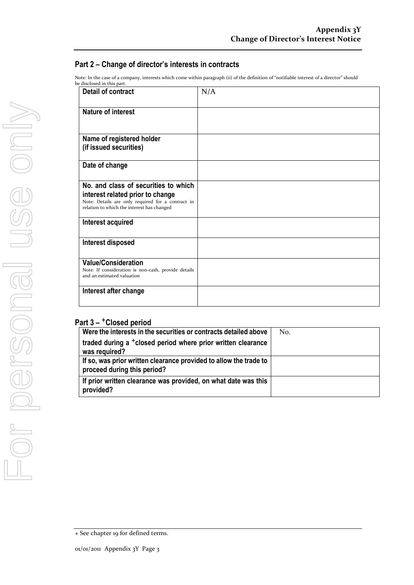### **Part 2 – Change of director's interests in contracts**

Note: In the case of a company, interests which come within paragraph (ii) of the definition of "notifiable interest of a director" should be disclosed in this part.

| Detail of contract                                                                                                                  | N/A |
|-------------------------------------------------------------------------------------------------------------------------------------|-----|
| <b>Nature of interest</b>                                                                                                           |     |
| Name of registered holder                                                                                                           |     |
| (if issued securities)                                                                                                              |     |
| Date of change                                                                                                                      |     |
| No. and class of securities to which                                                                                                |     |
| interest related prior to change<br>Note: Details are only required for a contract in<br>relation to which the interest has changed |     |
| Interest acquired                                                                                                                   |     |
| Interest disposed                                                                                                                   |     |
| <b>Value/Consideration</b><br>Note: If consideration is non-cash, provide details                                                   |     |
| and an estimated valuation                                                                                                          |     |
| Interest after change                                                                                                               |     |
|                                                                                                                                     |     |

### **Part 3 –** +**Closed period**

| Were the interests in the securities or contracts detailed above                                 | No. |
|--------------------------------------------------------------------------------------------------|-----|
| traded during a <sup>+</sup> closed period where prior written clearance<br>was required?        |     |
| If so, was prior written clearance provided to allow the trade to<br>proceed during this period? |     |
| If prior written clearance was provided, on what date was this<br>provided?                      |     |

<sup>+</sup> See chapter 19 for defined terms.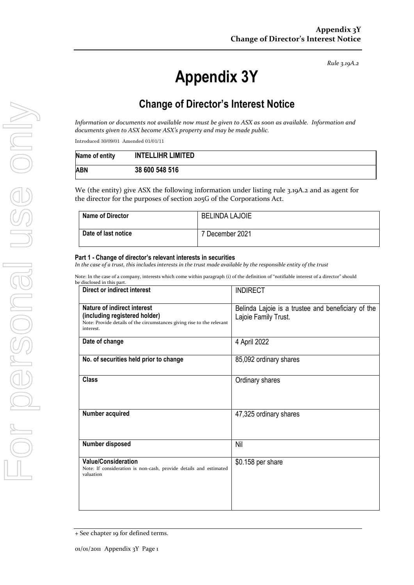*Rule 3.19A.2*

# **Appendix 3Y**

### **Change of Director's Interest Notice**

*Information or documents not available now must be given to ASX as soon as available. Information and documents given to ASX become ASX's property and may be made public.*

Introduced 30/09/01 Amended 01/01/11

| Name of entity | <b>INTELLIHR LIMITED</b> |
|----------------|--------------------------|
| ABN            | 38 600 548 516           |

We (the entity) give ASX the following information under listing rule 3.19A.2 and as agent for the director for the purposes of section 205G of the Corporations Act.

| <b>Name of Director</b> | <b>BELINDA LAJOIE</b> |
|-------------------------|-----------------------|
| Date of last notice     | 7 December 2021       |

#### **Part 1 - Change of director's relevant interests in securities**

*In the case of a trust, this includes interests in the trust made available by the responsible entity of the trust*

Note: In the case of a company, interests which come within paragraph (i) of the definition of "notifiable interest of a director" should be disclo

| ле анхнозеа ни синз раге.<br>Direct or indirect interest                                                                                            | <b>INDIRECT</b>                                                            |  |
|-----------------------------------------------------------------------------------------------------------------------------------------------------|----------------------------------------------------------------------------|--|
| Nature of indirect interest<br>(including registered holder)<br>Note: Provide details of the circumstances giving rise to the relevant<br>interest. | Belinda Lajoie is a trustee and beneficiary of the<br>Lajoie Family Trust. |  |
| Date of change                                                                                                                                      | 4 April 2022                                                               |  |
| No. of securities held prior to change                                                                                                              | 85,092 ordinary shares                                                     |  |
| <b>Class</b>                                                                                                                                        | Ordinary shares                                                            |  |
| Number acquired                                                                                                                                     | 47,325 ordinary shares                                                     |  |
| Number disposed                                                                                                                                     | Nil                                                                        |  |
| <b>Value/Consideration</b><br>Note: If consideration is non-cash, provide details and estimated<br>valuation                                        | \$0.158 per share                                                          |  |

<sup>+</sup> See chapter 19 for defined terms.